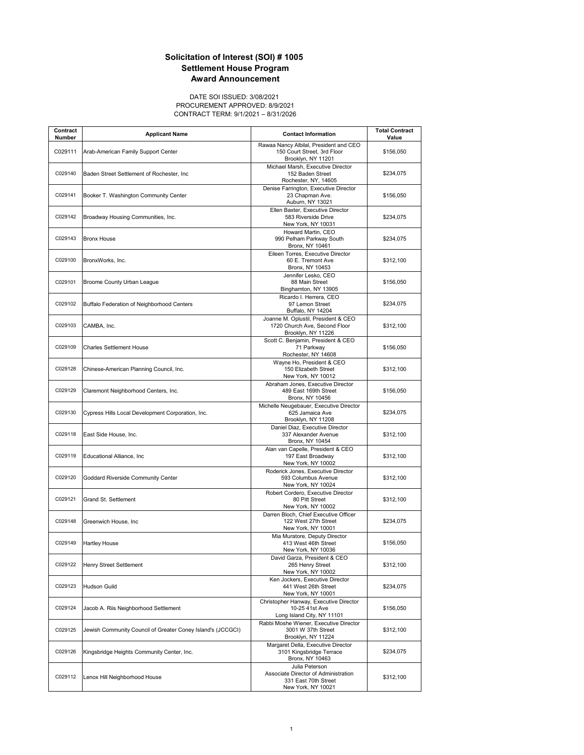## **Award Announcement Solicitation of Interest (SOI) # 1005 Settlement House Program**

CONTRACT TERM: 9/1/2021 – 8/31/2026 DATE SOI ISSUED: 3/08/2021 PROCUREMENT APPROVED: 8/9/2021

| Contract<br><b>Number</b> | <b>Applicant Name</b>                                       | <b>Contact Information</b>                                                                           | <b>Total Contract</b><br>Value |
|---------------------------|-------------------------------------------------------------|------------------------------------------------------------------------------------------------------|--------------------------------|
| C029111                   | Arab-American Family Support Center                         | Rawaa Nancy Albilal, President and CEO<br>150 Court Street, 3rd Floor<br>Brooklyn, NY 11201          | \$156,050                      |
| C029140                   | Baden Street Settlement of Rochester, Inc.                  | Michael Marsh, Executive Director<br>152 Baden Street<br>Rochester, NY, 14605                        | \$234,075                      |
| C029141                   | Booker T. Washington Community Center                       | Denise Farrington, Executive Director<br>23 Chapman Ave.<br>Auburn, NY 13021                         | \$156,050                      |
| C029142                   | Broadway Housing Communities, Inc.                          | Ellen Baxter, Executive Director<br>583 Riverside Drive<br>New York, NY 10031                        | \$234,075                      |
| C029143                   | <b>Bronx House</b>                                          | Howard Martin, CEO<br>990 Pelham Parkway South<br>Bronx, NY 10461                                    | \$234,075                      |
| C029100                   | BronxWorks, Inc.                                            | Eileen Torres, Executive Director<br>60 E. Tremont Ave<br>Bronx, NY 10453                            | \$312,100                      |
| C029101                   | Broome County Urban League                                  | Jennifer Lesko, CEO<br>88 Main Street<br>Binghamton, NY 13905                                        | \$156,050                      |
| C029102                   | Buffalo Federation of Neighborhood Centers                  | Ricardo I. Herrera, CEO<br>97 Lemon Street<br>Buffalo, NY 14204                                      | \$234,075                      |
| C029103                   | CAMBA, Inc.                                                 | Joanne M. Oplustil, President & CEO<br>1720 Church Ave, Second Floor<br>Brooklyn, NY 11226           | \$312,100                      |
| C029109                   | <b>Charles Settlement House</b>                             | Scott C. Benjamin, President & CEO<br>71 Parkway<br>Rochester, NY 14608                              | \$156,050                      |
| C029128                   | Chinese-American Planning Council, Inc.                     | Wayne Ho, President & CEO<br>150 Elizabeth Street<br>New York, NY 10012                              | \$312,100                      |
| C029129                   | Claremont Neighborhood Centers, Inc.                        | Abraham Jones, Executive Director<br>489 East 169th Street<br>Bronx, NY 10456                        | \$156,050                      |
| C029130                   | Cypress Hills Local Development Corporation, Inc.           | Michelle Neugebauer, Executive Director<br>625 Jamaica Ave<br>Brooklyn, NY 11208                     | \$234,075                      |
| C029118                   | East Side House, Inc.                                       | Daniel Diaz. Executive Director<br>337 Alexander Avenue<br>Bronx, NY 10454                           | \$312,100                      |
| C029119                   | Educational Alliance, Inc.                                  | Alan van Capelle, President & CEO<br>197 East Broadway<br>New York, NY 10002                         | \$312,100                      |
| C029120                   | Goddard Riverside Community Center                          | Roderick Jones, Executive Director<br>593 Columbus Avenue<br>New York, NY 10024                      | \$312,100                      |
| C029121                   | Grand St. Settlement                                        | Robert Cordero, Executive Director<br>80 Pitt Street<br>New York, NY 10002                           | \$312,100                      |
| C029148                   | Greenwich House, Inc                                        | Darren Bloch, Chief Executive Officer<br>122 West 27th Street<br>New York, NY 10001                  | \$234,075                      |
| C029149                   | <b>Hartley House</b>                                        | Mia Muratore, Deputy Director<br>413 West 46th Street<br>New York, NY 10036                          | \$156,050                      |
| C029122                   | Henry Street Settlement                                     | David Garza, President & CEO<br>265 Henry Street<br>New York, NY 10002                               | \$312,100                      |
| C029123                   | Hudson Guild                                                | Ken Jockers, Executive Director<br>441 West 26th Street<br>New York, NY 10001                        | \$234,075                      |
| C029124                   | Jacob A. Riis Neighborhood Settlement                       | Christopher Hanway, Executive Director<br>10-25 41st Ave<br>Long Island City, NY 11101               | \$156,050                      |
| C029125                   | Jewish Community Council of Greater Coney Island's (JCCGCI) | Rabbi Moshe Wiener, Executive Director<br>3001 W 37th Street<br>Brooklyn, NY 11224                   | \$312,100                      |
| C029126                   | Kingsbridge Heights Community Center, Inc.                  | Margaret Della, Executive Director<br>3101 Kingsbridge Terrace<br>Bronx, NY 10463                    | \$234,075                      |
| C029112                   | Lenox Hill Neighborhood House                               | Julia Peterson<br>Associate Director of Administration<br>331 East 70th Street<br>New York, NY 10021 | \$312,100                      |